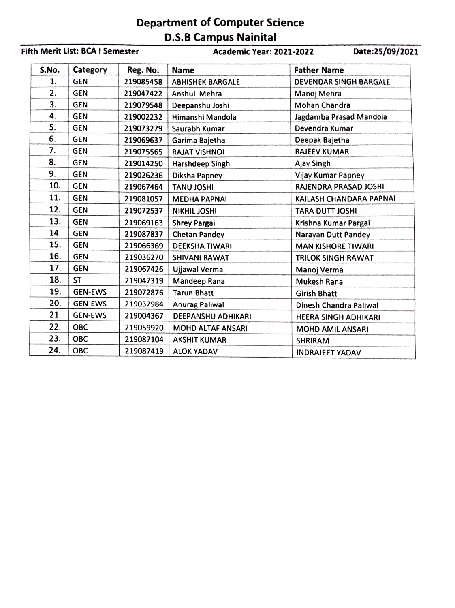## Department of Computer Science D.S.B Campus Nainital

## Fifth Merit List: BCA I Semester Academic Year: 2021-2022 Date:25/09/2021 S.No. Category Reg. No. Name Father Name 1. GEN | 219085458 | ABHISHEK BARGALE | DEVENDAR SINGH BARGALE 219085458 | ABHISHEK BARGALE  $2.$ GEN 219047422 Anshul Mehra Manoj Mehra  $3.$  GEN 219079548 Deepanshu Joshi Mohan Chandra 4. GEN | 219002232 | Himanshi Mandola | Jagdamba Prasad Mandola GEN 219002232 Himanshi Mandola 5. GEN 219073279 Saurabh Kumar Devendra Kumar 6. GEN Garima Bajetha Deepak Bajetha 7. GEN RAJEEV KUMAR 219075565 RAJAT VISHNOI 8. GEN 219014250 Harshdeep Singh<br>9. GEN 219026236 Diksha Papney Ajay Singh GEN Vijay Kumar Papney 10. GEN 219067464 TANU JOSHI 219067464<br>219081057 RAJENDRA PRASAD JOSHI 11. GEN KAILASH CHANDARA PAPNAI **MEDHA PAPNAI** 12. GEN 219072537 NIKHIL JOSHI TARA DUTT JOSHI NIKHIL JOSHI 13. GEN 219069163 Shrey Pargai<br>14. GEN 219087837 Chetan Pand Krishna Kumar Pargai 14. GEN 219087837<br>15. GEN 219066369 Chetan Pandey Narayan Dutt Pandey 219066369 DEEKSHA TIWARI **MAN KISHORE TIWARI** 16. GEN 219036270 SHIVANI RAWAT TRILOK SINGH RAWAT<br>17. GEN 219067426 Uliawal Verma Manoi Verma GEN 219036270 SHIVANI RAWAT **GEN** 219067426 Ujjawal Verma Manoj Verma 18.  $|ST|$ 219047319 Mandeep Rana Mukesh Rana 19. GEN-EWS 219072876 Tarun Bhatt<br>219037984 Anurag Paliw Girish Bhatt 20. GEN-EWS Anurag Paliwal Dinesh Chandra Paliwal 21. GEN-EWS 219004367 DEEPANSHU ADHIKARI HEERA SINGH ADHIKARI 22. OBC 219059920 | MOHD ALTAF ANSARI<br>219087104 | AKSHIT KUMAR MOHD AMIL ANSARI 23. OBC 219087104 AKSHIT KUMAR SHRIRAM 24. OBC 219087419 ALOK YADAV INDRAJEET YADAV 219087419 | ALOK YADAV